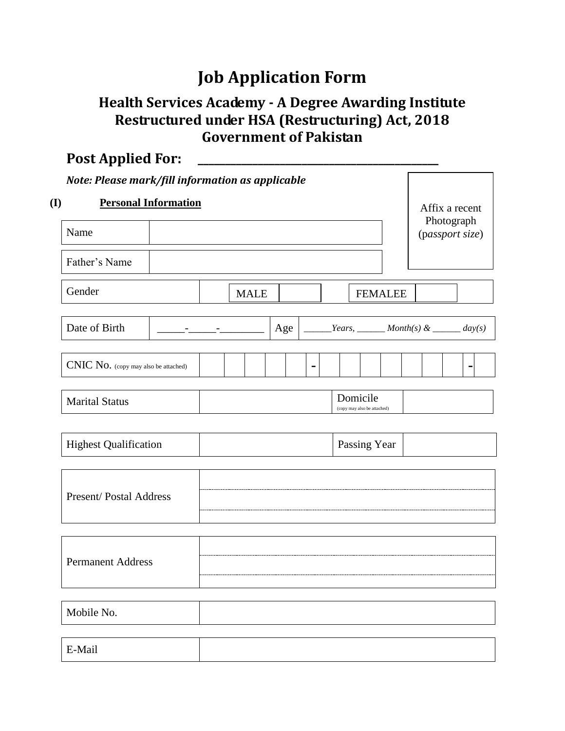# **Job Application Form**

## **Health Services Academy - A Degree Awarding Institute Restructured under HSA (Restructuring) Act, 2018 Government of Pakistan**

| <b>Post Applied For:</b>                         |  |  |  |             |     |                |  |                                                 |                |  |  |  |                |
|--------------------------------------------------|--|--|--|-------------|-----|----------------|--|-------------------------------------------------|----------------|--|--|--|----------------|
| Note: Please mark/fill information as applicable |  |  |  |             |     |                |  |                                                 |                |  |  |  |                |
| <b>Personal Information</b>                      |  |  |  |             |     |                |  | Affix a recent<br>Photograph<br>(passport size) |                |  |  |  |                |
| Name                                             |  |  |  |             |     |                |  |                                                 |                |  |  |  |                |
| Father's Name                                    |  |  |  |             |     |                |  |                                                 |                |  |  |  |                |
| Gender                                           |  |  |  | <b>MALE</b> |     |                |  |                                                 | <b>FEMALEE</b> |  |  |  |                |
| Date of Birth                                    |  |  |  |             | Age |                |  |                                                 |                |  |  |  |                |
| CNIC No. (copy may also be attached)             |  |  |  |             |     | $\blacksquare$ |  |                                                 |                |  |  |  | $\blacksquare$ |
| <b>Marital Status</b>                            |  |  |  |             |     |                |  | Domicile<br>(copy may also be attached)         |                |  |  |  |                |
| <b>Highest Qualification</b>                     |  |  |  |             |     |                |  | Passing Year                                    |                |  |  |  |                |
| <b>Present/Postal Address</b>                    |  |  |  |             |     |                |  |                                                 |                |  |  |  |                |
| <b>Permanent Address</b>                         |  |  |  |             |     |                |  |                                                 |                |  |  |  |                |
| Mobile No.                                       |  |  |  |             |     |                |  |                                                 |                |  |  |  |                |
| E-Mail                                           |  |  |  |             |     |                |  |                                                 |                |  |  |  |                |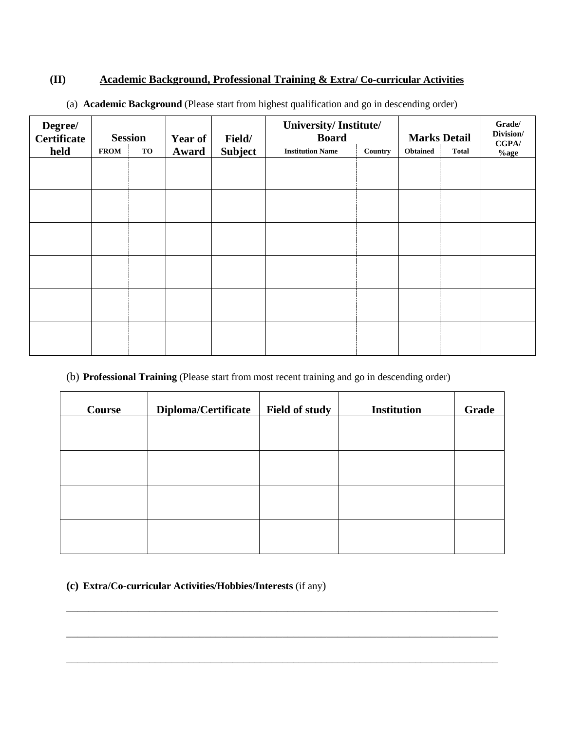#### **(II) Academic Background, Professional Training & Extra/ Co-curricular Activities**

| Degree/<br><b>Certificate</b> |             | <b>Session</b> | <b>Year of</b> | Field/         | University/Institute/<br><b>Board</b> |         | <b>Marks Detail</b> |              | Grade/<br>Division/<br>CGPA/ |  |
|-------------------------------|-------------|----------------|----------------|----------------|---------------------------------------|---------|---------------------|--------------|------------------------------|--|
| held                          | <b>FROM</b> | TO             | Award          | <b>Subject</b> | <b>Institution Name</b>               | Country | <b>Obtained</b>     | <b>Total</b> | $%$ age                      |  |
|                               |             |                |                |                |                                       |         |                     |              |                              |  |
|                               |             |                |                |                |                                       |         |                     |              |                              |  |
|                               |             |                |                |                |                                       |         |                     |              |                              |  |
|                               |             |                |                |                |                                       |         |                     |              |                              |  |
|                               |             |                |                |                |                                       |         |                     |              |                              |  |
|                               |             |                |                |                |                                       |         |                     |              |                              |  |
|                               |             |                |                |                |                                       |         |                     |              |                              |  |
|                               |             |                |                |                |                                       |         |                     |              |                              |  |
|                               |             |                |                |                |                                       |         |                     |              |                              |  |
|                               |             |                |                |                |                                       |         |                     |              |                              |  |
|                               |             |                |                |                |                                       |         |                     |              |                              |  |
|                               |             |                |                |                |                                       |         |                     |              |                              |  |

(a) **Academic Background** (Please start from highest qualification and go in descending order)

#### (b) **Professional Training** (Please start from most recent training and go in descending order)

| Diploma/Certificate | Field of study | <b>Institution</b> | Grade |
|---------------------|----------------|--------------------|-------|
|                     |                |                    |       |
|                     |                |                    |       |
|                     |                |                    |       |
|                     |                |                    |       |
|                     |                |                    |       |
|                     |                |                    |       |
|                     |                |                    |       |

\_\_\_\_\_\_\_\_\_\_\_\_\_\_\_\_\_\_\_\_\_\_\_\_\_\_\_\_\_\_\_\_\_\_\_\_\_\_\_\_\_\_\_\_\_\_\_\_\_\_\_\_\_\_\_\_\_\_\_\_\_\_\_\_\_\_\_\_\_\_\_\_\_\_\_\_\_\_

\_\_\_\_\_\_\_\_\_\_\_\_\_\_\_\_\_\_\_\_\_\_\_\_\_\_\_\_\_\_\_\_\_\_\_\_\_\_\_\_\_\_\_\_\_\_\_\_\_\_\_\_\_\_\_\_\_\_\_\_\_\_\_\_\_\_\_\_\_\_\_\_\_\_\_\_\_\_

\_\_\_\_\_\_\_\_\_\_\_\_\_\_\_\_\_\_\_\_\_\_\_\_\_\_\_\_\_\_\_\_\_\_\_\_\_\_\_\_\_\_\_\_\_\_\_\_\_\_\_\_\_\_\_\_\_\_\_\_\_\_\_\_\_\_\_\_\_\_\_\_\_\_\_\_\_\_

#### **(c) Extra/Co-curricular Activities/Hobbies/Interests** (if any)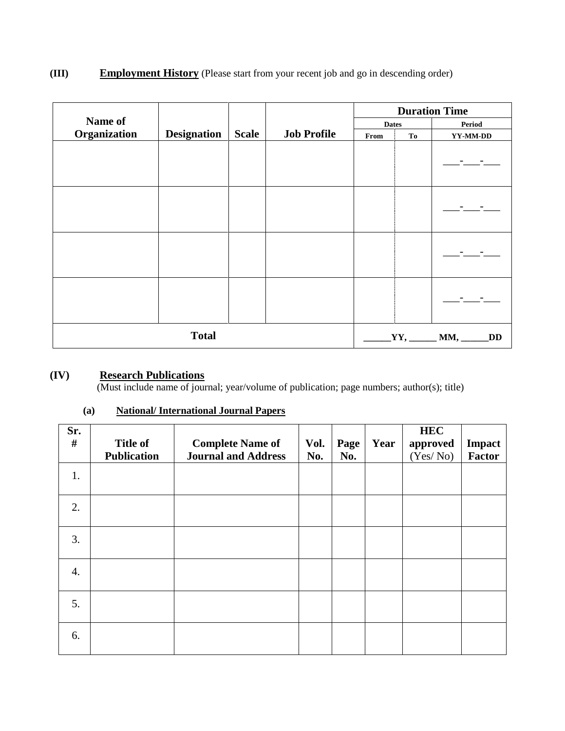### **(III) Employment History** (Please start from your recent job and go in descending order)

|              |                    |              |                    | <b>Duration Time</b> |              |                                          |  |  |
|--------------|--------------------|--------------|--------------------|----------------------|--------------|------------------------------------------|--|--|
| Name of      |                    |              |                    |                      | <b>Dates</b> | Period                                   |  |  |
| Organization | <b>Designation</b> | <b>Scale</b> | <b>Job Profile</b> | From                 | To           | YY-MM-DD                                 |  |  |
|              |                    |              |                    |                      |              |                                          |  |  |
|              |                    |              |                    |                      |              |                                          |  |  |
|              |                    |              |                    |                      |              |                                          |  |  |
|              |                    |              |                    |                      |              |                                          |  |  |
| <b>Total</b> |                    |              |                    |                      |              | $_1$ YY, ________ MM, _____<br><b>DD</b> |  |  |

#### **(IV) Research Publications**

(Must include name of journal; year/volume of publication; page numbers; author(s); title)

| Sr.<br># | <b>Title of</b>    | <b>Complete Name of</b>    | Vol. | Page | Year | <b>HEC</b><br>approved | Impact        |
|----------|--------------------|----------------------------|------|------|------|------------------------|---------------|
|          | <b>Publication</b> | <b>Journal and Address</b> | No.  | No.  |      | (Yes/No)               | <b>Factor</b> |
| 1.       |                    |                            |      |      |      |                        |               |
| 2.       |                    |                            |      |      |      |                        |               |
| 3.       |                    |                            |      |      |      |                        |               |
| 4.       |                    |                            |      |      |      |                        |               |
| 5.       |                    |                            |      |      |      |                        |               |
| 6.       |                    |                            |      |      |      |                        |               |

#### **(a) National/ International Journal Papers**